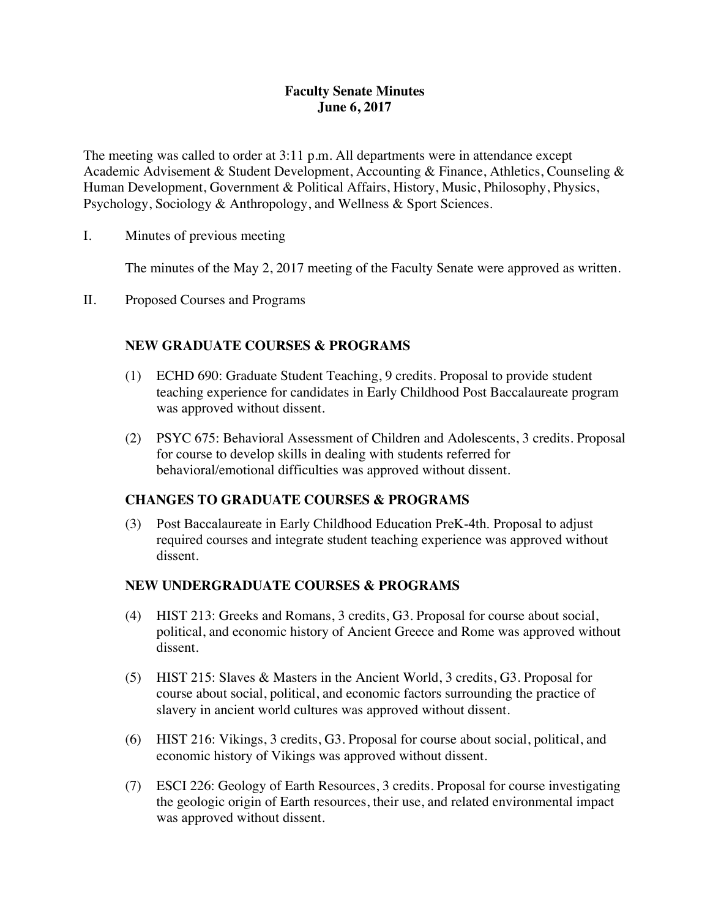# **Faculty Senate Minutes June 6, 2017**

The meeting was called to order at 3:11 p.m. All departments were in attendance except Academic Advisement & Student Development, Accounting & Finance, Athletics, Counseling & Human Development, Government & Political Affairs, History, Music, Philosophy, Physics, Psychology, Sociology & Anthropology, and Wellness & Sport Sciences.

I. Minutes of previous meeting

The minutes of the May 2, 2017 meeting of the Faculty Senate were approved as written.

II. Proposed Courses and Programs

# **NEW GRADUATE COURSES & PROGRAMS**

- (1) ECHD 690: Graduate Student Teaching, 9 credits. Proposal to provide student teaching experience for candidates in Early Childhood Post Baccalaureate program was approved without dissent.
- (2) PSYC 675: Behavioral Assessment of Children and Adolescents, 3 credits. Proposal for course to develop skills in dealing with students referred for behavioral/emotional difficulties was approved without dissent.

# **CHANGES TO GRADUATE COURSES & PROGRAMS**

(3) Post Baccalaureate in Early Childhood Education PreK-4th. Proposal to adjust required courses and integrate student teaching experience was approved without dissent.

# **NEW UNDERGRADUATE COURSES & PROGRAMS**

- (4) HIST 213: Greeks and Romans, 3 credits, G3. Proposal for course about social, political, and economic history of Ancient Greece and Rome was approved without dissent.
- (5) HIST 215: Slaves & Masters in the Ancient World, 3 credits, G3. Proposal for course about social, political, and economic factors surrounding the practice of slavery in ancient world cultures was approved without dissent.
- (6) HIST 216: Vikings, 3 credits, G3. Proposal for course about social, political, and economic history of Vikings was approved without dissent.
- (7) ESCI 226: Geology of Earth Resources, 3 credits. Proposal for course investigating the geologic origin of Earth resources, their use, and related environmental impact was approved without dissent.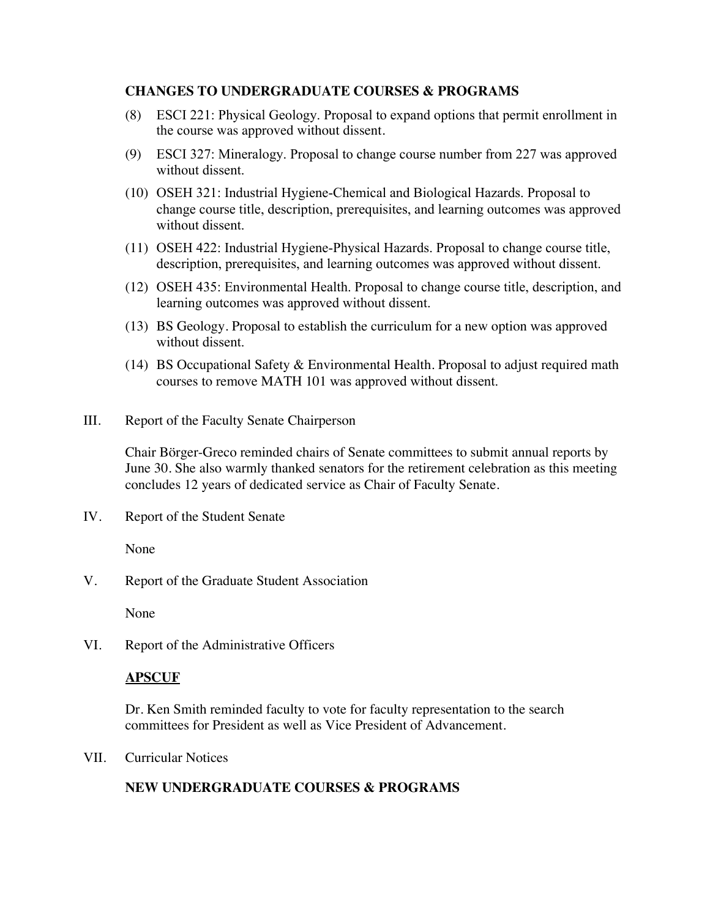## **CHANGES TO UNDERGRADUATE COURSES & PROGRAMS**

- (8) ESCI 221: Physical Geology. Proposal to expand options that permit enrollment in the course was approved without dissent.
- (9) ESCI 327: Mineralogy. Proposal to change course number from 227 was approved without dissent.
- (10) OSEH 321: Industrial Hygiene-Chemical and Biological Hazards. Proposal to change course title, description, prerequisites, and learning outcomes was approved without dissent.
- (11) OSEH 422: Industrial Hygiene-Physical Hazards. Proposal to change course title, description, prerequisites, and learning outcomes was approved without dissent.
- (12) OSEH 435: Environmental Health. Proposal to change course title, description, and learning outcomes was approved without dissent.
- (13) BS Geology. Proposal to establish the curriculum for a new option was approved without dissent.
- (14) BS Occupational Safety & Environmental Health. Proposal to adjust required math courses to remove MATH 101 was approved without dissent.
- III. Report of the Faculty Senate Chairperson

Chair Börger-Greco reminded chairs of Senate committees to submit annual reports by June 30. She also warmly thanked senators for the retirement celebration as this meeting concludes 12 years of dedicated service as Chair of Faculty Senate.

IV. Report of the Student Senate

None

V. Report of the Graduate Student Association

None

VI. Report of the Administrative Officers

## **APSCUF**

Dr. Ken Smith reminded faculty to vote for faculty representation to the search committees for President as well as Vice President of Advancement.

VII. Curricular Notices

# **NEW UNDERGRADUATE COURSES & PROGRAMS**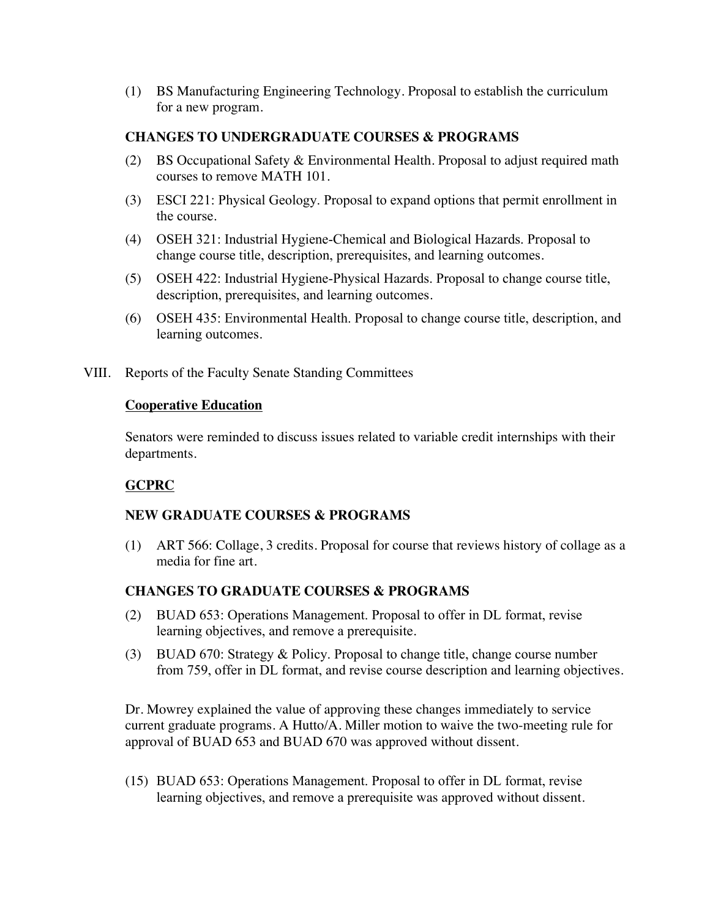(1) BS Manufacturing Engineering Technology. Proposal to establish the curriculum for a new program.

## **CHANGES TO UNDERGRADUATE COURSES & PROGRAMS**

- (2) BS Occupational Safety & Environmental Health. Proposal to adjust required math courses to remove MATH 101.
- (3) ESCI 221: Physical Geology. Proposal to expand options that permit enrollment in the course.
- (4) OSEH 321: Industrial Hygiene-Chemical and Biological Hazards. Proposal to change course title, description, prerequisites, and learning outcomes.
- (5) OSEH 422: Industrial Hygiene-Physical Hazards. Proposal to change course title, description, prerequisites, and learning outcomes.
- (6) OSEH 435: Environmental Health. Proposal to change course title, description, and learning outcomes.
- VIII. Reports of the Faculty Senate Standing Committees

#### **Cooperative Education**

Senators were reminded to discuss issues related to variable credit internships with their departments.

# **GCPRC**

## **NEW GRADUATE COURSES & PROGRAMS**

(1) ART 566: Collage, 3 credits. Proposal for course that reviews history of collage as a media for fine art.

# **CHANGES TO GRADUATE COURSES & PROGRAMS**

- (2) BUAD 653: Operations Management. Proposal to offer in DL format, revise learning objectives, and remove a prerequisite.
- (3) BUAD 670: Strategy & Policy. Proposal to change title, change course number from 759, offer in DL format, and revise course description and learning objectives.

Dr. Mowrey explained the value of approving these changes immediately to service current graduate programs. A Hutto/A. Miller motion to waive the two-meeting rule for approval of BUAD 653 and BUAD 670 was approved without dissent.

(15) BUAD 653: Operations Management. Proposal to offer in DL format, revise learning objectives, and remove a prerequisite was approved without dissent.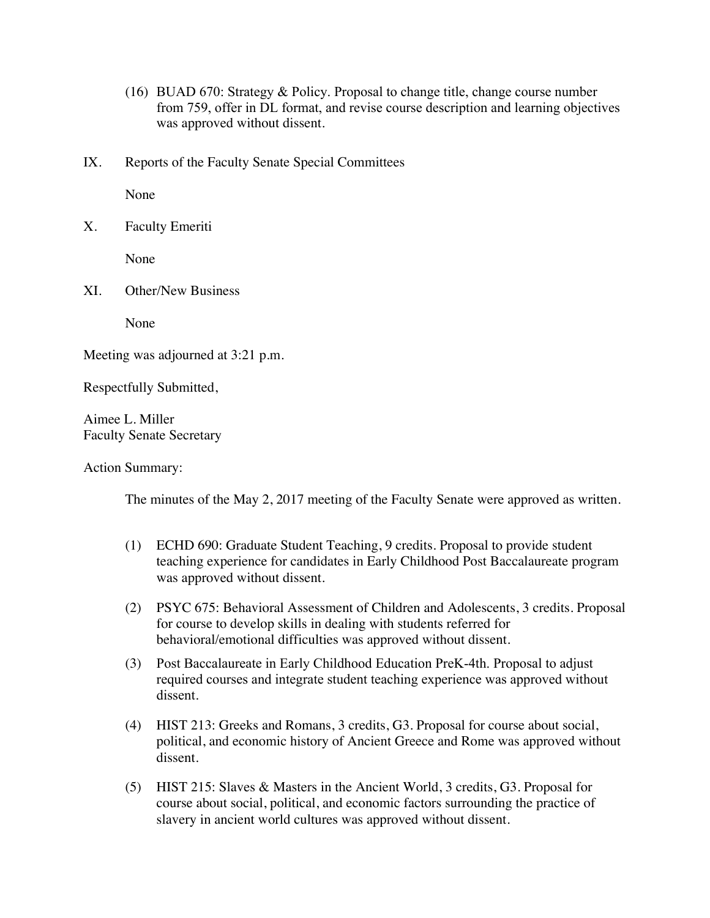- (16) BUAD 670: Strategy & Policy. Proposal to change title, change course number from 759, offer in DL format, and revise course description and learning objectives was approved without dissent.
- IX. Reports of the Faculty Senate Special Committees

None

| v<br>Λ. | <b>Faculty Emeriti</b> |
|---------|------------------------|
|---------|------------------------|

None

XI. Other/New Business

None

Meeting was adjourned at 3:21 p.m.

Respectfully Submitted,

Aimee L. Miller Faculty Senate Secretary

Action Summary:

The minutes of the May 2, 2017 meeting of the Faculty Senate were approved as written.

- (1) ECHD 690: Graduate Student Teaching, 9 credits. Proposal to provide student teaching experience for candidates in Early Childhood Post Baccalaureate program was approved without dissent.
- (2) PSYC 675: Behavioral Assessment of Children and Adolescents, 3 credits. Proposal for course to develop skills in dealing with students referred for behavioral/emotional difficulties was approved without dissent.
- (3) Post Baccalaureate in Early Childhood Education PreK-4th. Proposal to adjust required courses and integrate student teaching experience was approved without dissent.
- (4) HIST 213: Greeks and Romans, 3 credits, G3. Proposal for course about social, political, and economic history of Ancient Greece and Rome was approved without dissent.
- (5) HIST 215: Slaves & Masters in the Ancient World, 3 credits, G3. Proposal for course about social, political, and economic factors surrounding the practice of slavery in ancient world cultures was approved without dissent.